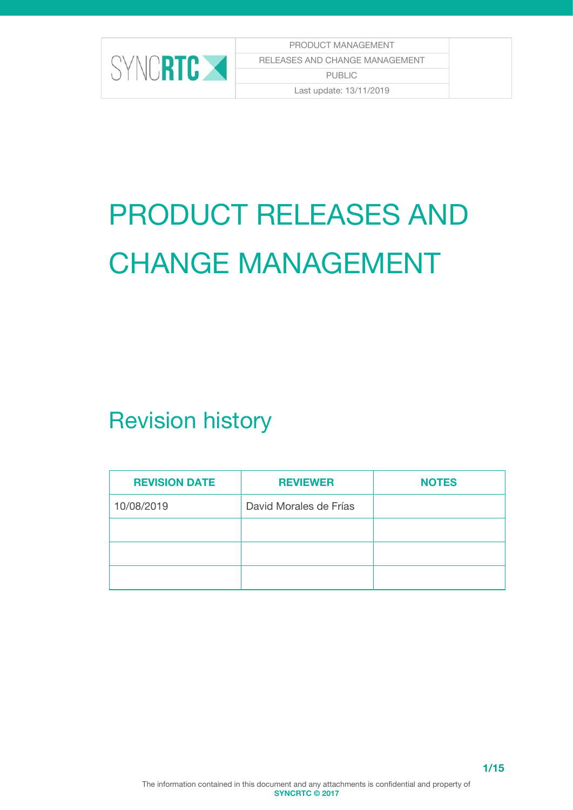

# PRODUCT RELEASES AND CHANGE MANAGEMENT

# <span id="page-0-0"></span>Revision history

| <b>REVISION DATE</b> | <b>REVIEWER</b>        | <b>NOTES</b> |
|----------------------|------------------------|--------------|
| 10/08/2019           | David Morales de Frías |              |
|                      |                        |              |
|                      |                        |              |
|                      |                        |              |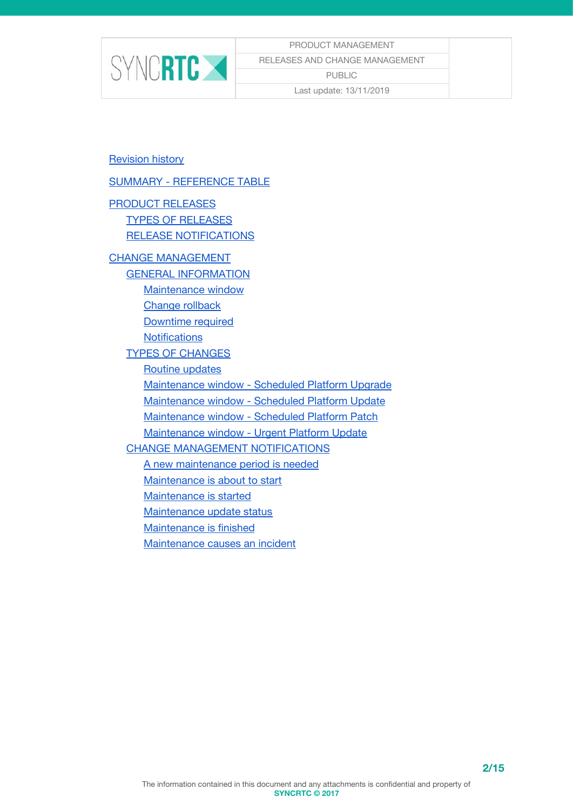

[Revision](#page-0-0) history

SUMMARY - [REFERENCE](#page-2-0) TABLE

- PRODUCT [RELEASES](#page-3-0) TYPES OF [RELEASES](#page-4-0) RELEASE [NOTIFICATIONS](#page-5-0)
- CHANGE [MANAGEMENT](#page-7-0)

GENERAL [INFORMATION](#page-7-1) [Maintenance](#page-7-2) window

Change [rollback](#page-7-3)

[Downtime](#page-8-0) required

**[Notifications](#page-8-1)** 

TYPES OF [CHANGES](#page-8-2)

Routine [updates](#page-9-0)

[Maintenance](#page-9-1) window - Scheduled Platform Upgrade

[Maintenance](#page-10-0) window - Scheduled Platform Update

[Maintenance](#page-10-1) window - Scheduled Platform Patch

[Maintenance](#page-11-0) window - Urgent Platform Update

CHANGE MANAGEMENT [NOTIFICATIONS](#page-12-0)

A new [maintenance](#page-12-1) period is needed

[Maintenance](#page-12-2) is about to start

[Maintenance](#page-13-0) is started

[Maintenance](#page-13-1) update status

[Maintenance](#page-13-2) is finished

[Maintenance](#page-14-0) causes an incident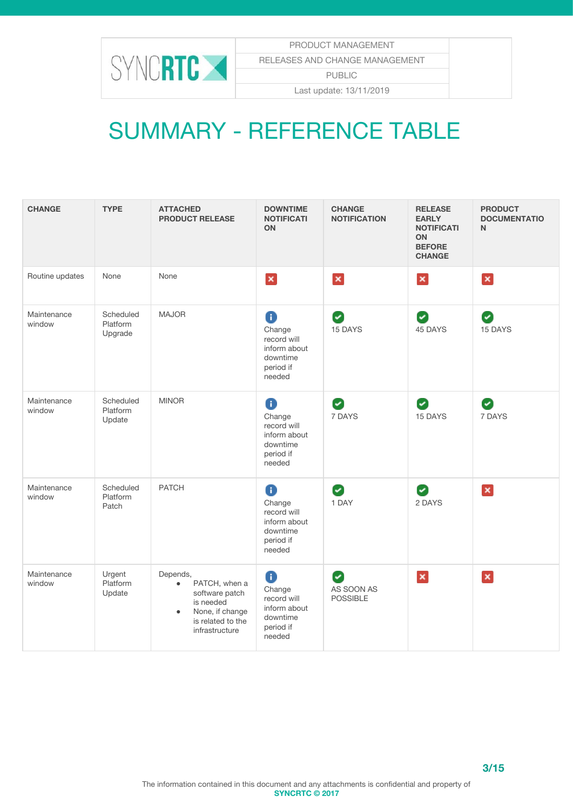

#### Last update: 13/11/2019

# <span id="page-2-0"></span>SUMMARY - REFERENCE TABLE

| <b>CHANGE</b>         | <b>TYPE</b>                      | <b>ATTACHED</b><br><b>PRODUCT RELEASE</b>                                                                                                    | <b>DOWNTIME</b><br><b>NOTIFICATI</b><br>ON                                    | <b>CHANGE</b><br><b>NOTIFICATION</b> | <b>RELEASE</b><br><b>EARLY</b><br><b>NOTIFICATI</b><br>ON<br><b>BEFORE</b><br><b>CHANGE</b> | <b>PRODUCT</b><br><b>DOCUMENTATIO</b><br>N. |
|-----------------------|----------------------------------|----------------------------------------------------------------------------------------------------------------------------------------------|-------------------------------------------------------------------------------|--------------------------------------|---------------------------------------------------------------------------------------------|---------------------------------------------|
| Routine updates       | None                             | None                                                                                                                                         | $\mathbf{x}$                                                                  | $\vert x \vert$                      | $\mathbf{x}$                                                                                | $\mathbf{x}$                                |
| Maintenance<br>window | Scheduled<br>Platform<br>Upgrade | <b>MAJOR</b>                                                                                                                                 | ❶<br>Change<br>record will<br>inform about<br>downtime<br>period if<br>needed | Ø<br>15 DAYS                         | Ø<br>45 DAYS                                                                                | Ø<br>15 DAYS                                |
| Maintenance<br>window | Scheduled<br>Platform<br>Update  | <b>MINOR</b>                                                                                                                                 | ❶<br>Change<br>record will<br>inform about<br>downtime<br>period if<br>needed | Ø<br>7 DAYS                          | Ø<br>15 DAYS                                                                                | Ø<br>7 DAYS                                 |
| Maintenance<br>window | Scheduled<br>Platform<br>Patch   | <b>PATCH</b>                                                                                                                                 | 0<br>Change<br>record will<br>inform about<br>downtime<br>period if<br>needed | Ø<br>1 DAY                           | Ø<br>2 DAYS                                                                                 | $\mathbf{x}$                                |
| Maintenance<br>window | Urgent<br>Platform<br>Update     | Depends,<br>PATCH, when a<br>$\bullet$<br>software patch<br>is needed<br>None, if change<br>$\bullet$<br>is related to the<br>infrastructure | ❶<br>Change<br>record will<br>inform about<br>downtime<br>period if<br>needed | Ø<br>AS SOON AS<br><b>POSSIBLE</b>   | $\vert x \vert$                                                                             | $\pmb{\times}$                              |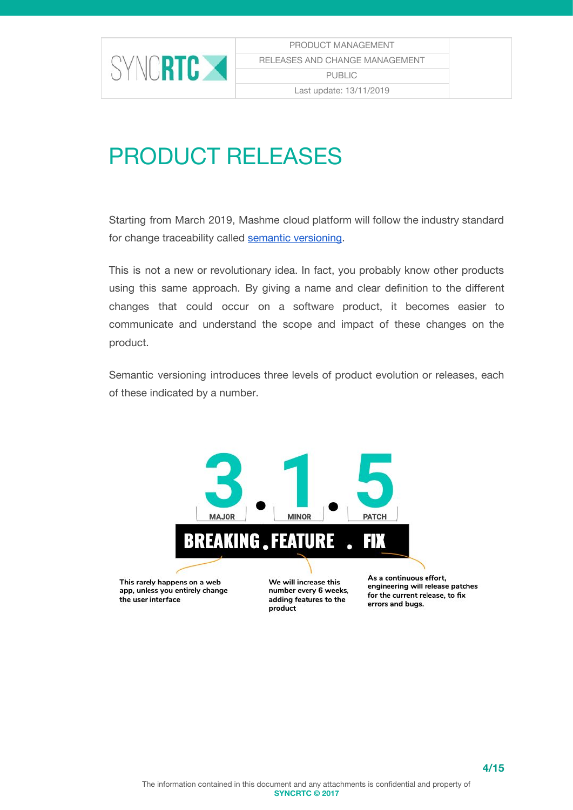

# <span id="page-3-0"></span>PRODUCT RELEASES

Starting from March 2019, Mashme cloud platform will follow the industry standard for change traceability called semantic [versioning.](https://semver.org/)

This is not a new or revolutionary idea. In fact, you probably know other products using this same approach. By giving a name and clear definition to the different changes that could occur on a software product, it becomes easier to communicate and understand the scope and impact of these changes on the product.

Semantic versioning introduces three levels of product evolution or releases, each of these indicated by a number.



This rarely happens on a web app, unless you entirely change the user interface

number every 6 weeks, adding features to the product

As a continuous effort, engineering will release patches for the current release, to fix errors and bugs.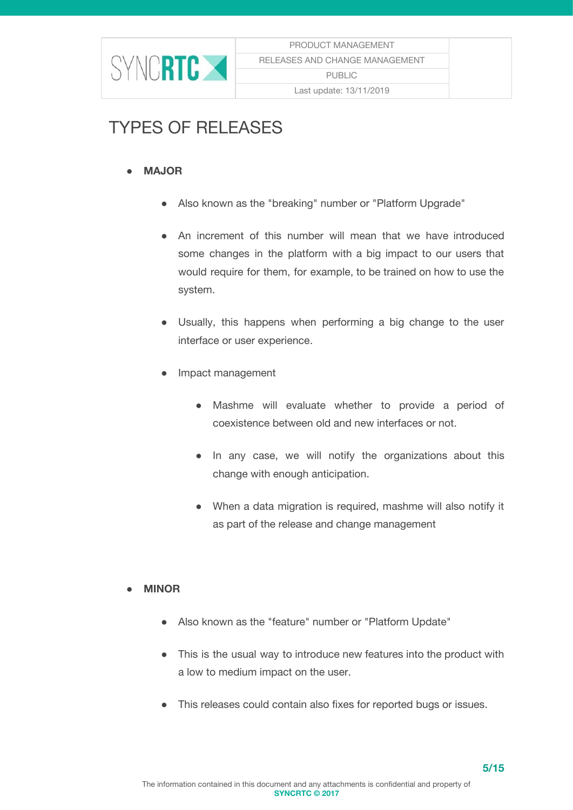

## <span id="page-4-0"></span>TYPES OF RELEASES

#### **● MAJOR**

- Also known as the "breaking" number or "Platform Upgrade"
- An increment of this number will mean that we have introduced some changes in the platform with a big impact to our users that would require for them, for example, to be trained on how to use the system.
- Usually, this happens when performing a big change to the user interface or user experience.
- Impact management
	- Mashme will evaluate whether to provide a period of coexistence between old and new interfaces or not.
	- In any case, we will notify the organizations about this change with enough anticipation.
	- When a data migration is required, mashme will also notify it as part of the release and change management

#### **● MINOR**

- Also known as the "feature" number or "Platform Update"
- This is the usual way to introduce new features into the product with a low to medium impact on the user.
- This releases could contain also fixes for reported bugs or issues.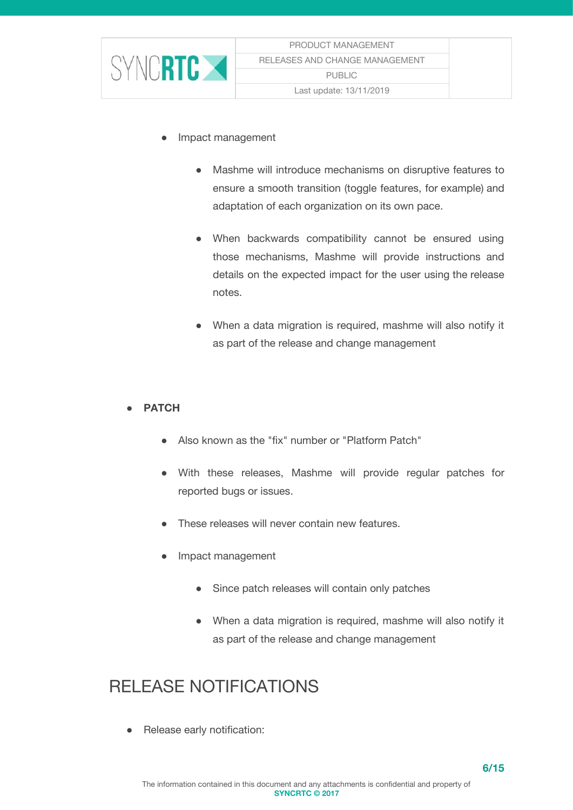

- Impact management
	- Mashme will introduce mechanisms on disruptive features to ensure a smooth transition (toggle features, for example) and adaptation of each organization on its own pace.
	- When backwards compatibility cannot be ensured using those mechanisms, Mashme will provide instructions and details on the expected impact for the user using the release notes.
	- When a data migration is required, mashme will also notify it as part of the release and change management

#### **● PATCH**

- Also known as the "fix" number or "Platform Patch"
- With these releases, Mashme will provide regular patches for reported bugs or issues.
- These releases will never contain new features.
- Impact management
	- Since patch releases will contain only patches
	- When a data migration is required, mashme will also notify it as part of the release and change management

## <span id="page-5-0"></span>RELEASE NOTIFICATIONS

Release early notification: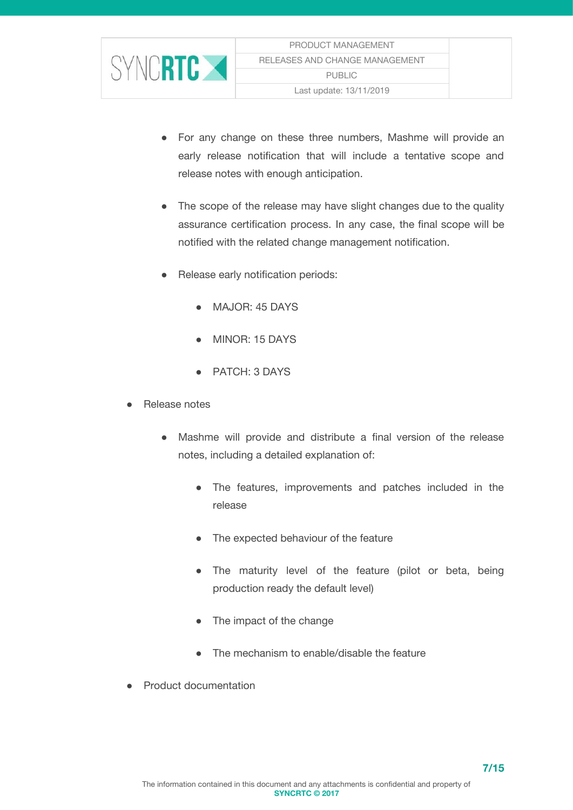

- For any change on these three numbers, Mashme will provide an early release notification that will include a tentative scope and release notes with enough anticipation.
- The scope of the release may have slight changes due to the quality assurance certification process. In any case, the final scope will be notified with the related change management notification.
- Release early notification periods:
	- MAJOR: 45 DAYS
	- MINOR: 15 DAYS
	- PATCH: 3 DAYS
- Release notes
	- Mashme will provide and distribute a final version of the release notes, including a detailed explanation of:
		- The features, improvements and patches included in the release
		- The expected behaviour of the feature
		- The maturity level of the feature (pilot or beta, being production ready the default level)
		- The impact of the change
		- The mechanism to enable/disable the feature
- **Product documentation**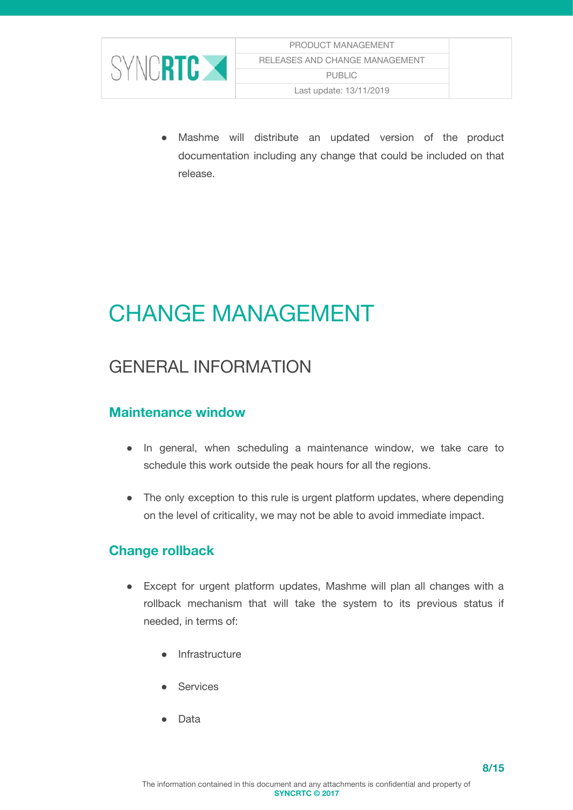

● Mashme will distribute an updated version of the product documentation including any change that could be included on that release.

# <span id="page-7-0"></span>CHANGE MANAGEMENT

## <span id="page-7-1"></span>GENERAL INFORMATION

#### <span id="page-7-2"></span>**Maintenance window**

- In general, when scheduling a maintenance window, we take care to schedule this work outside the peak hours for all the regions.
- The only exception to this rule is urgent platform updates, where depending on the level of criticality, we may not be able to avoid immediate impact.

#### <span id="page-7-3"></span>**Change rollback**

- Except for urgent platform updates, Mashme will plan all changes with a rollback mechanism that will take the system to its previous status if needed, in terms of:
	- Infrastructure
	- Services
	- Data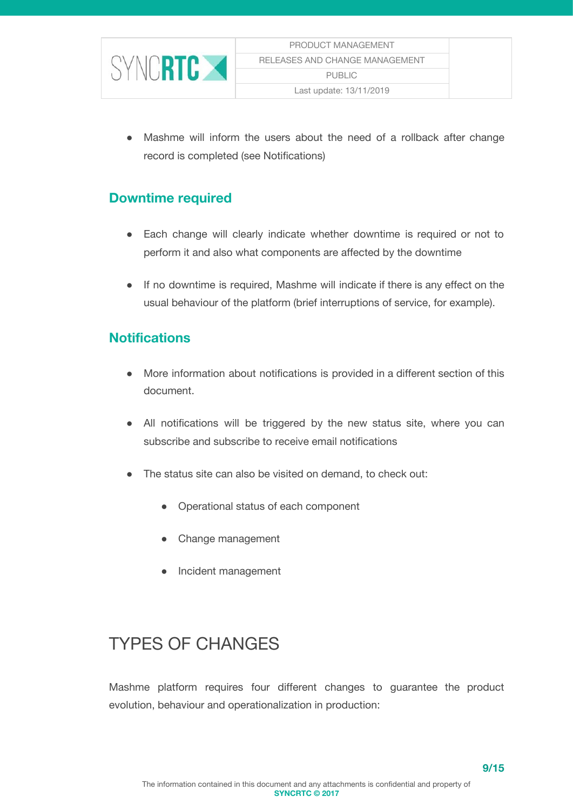

Mashme will inform the users about the need of a rollback after change record is completed (see Notifications)

#### <span id="page-8-0"></span>**Downtime required**

- Each change will clearly indicate whether downtime is required or not to perform it and also what components are affected by the downtime
- If no downtime is required, Mashme will indicate if there is any effect on the usual behaviour of the platform (brief interruptions of service, for example).

#### <span id="page-8-1"></span>**Notifications**

- More information about notifications is provided in a different section of this document.
- All notifications will be triggered by the new status site, where you can subscribe and subscribe to receive email notifications
- The status site can also be visited on demand, to check out:
	- Operational status of each component
	- Change management
	- Incident management

### <span id="page-8-2"></span>TYPES OF CHANGES

Mashme platform requires four different changes to guarantee the product evolution, behaviour and operationalization in production: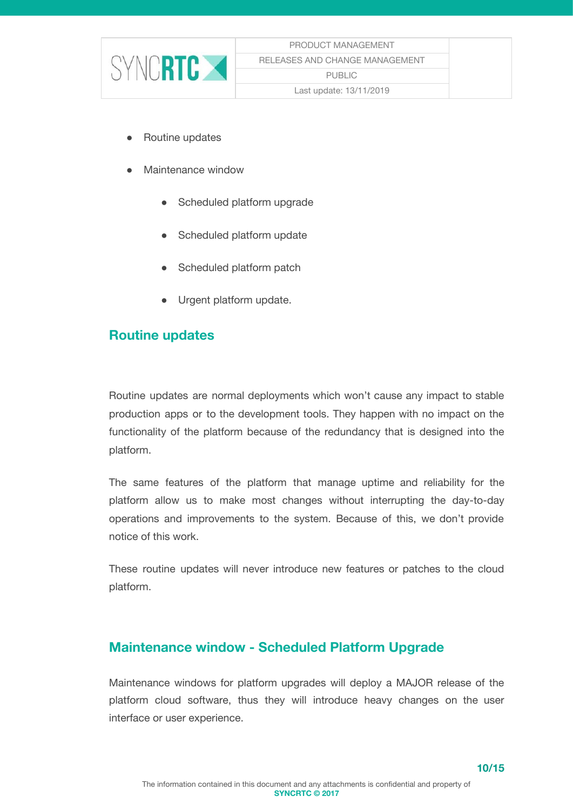

- Routine updates
- Maintenance window
	- Scheduled platform upgrade
	- Scheduled platform update
	- Scheduled platform patch
	- Urgent platform update.

#### <span id="page-9-0"></span>**Routine updates**

Routine updates are normal deployments which won't cause any impact to stable production apps or to the development tools. They happen with no impact on the functionality of the platform because of the redundancy that is designed into the platform.

The same features of the platform that manage uptime and reliability for the platform allow us to make most changes without interrupting the day-to-day operations and improvements to the system. Because of this, we don't provide notice of this work.

These routine updates will never introduce new features or patches to the cloud platform.

#### <span id="page-9-1"></span>**Maintenance window - Scheduled Platform Upgrade**

Maintenance windows for platform upgrades will deploy a MAJOR release of the platform cloud software, thus they will introduce heavy changes on the user interface or user experience.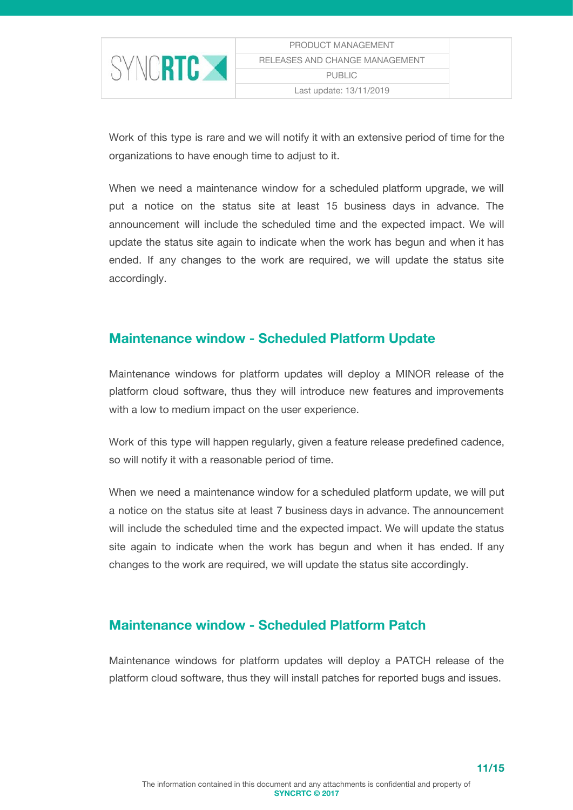

Work of this type is rare and we will notify it with an extensive period of time for the organizations to have enough time to adjust to it.

When we need a maintenance window for a scheduled platform upgrade, we will put a notice on the status site at least 15 business days in advance. The announcement will include the scheduled time and the expected impact. We will update the status site again to indicate when the work has begun and when it has ended. If any changes to the work are required, we will update the status site accordingly.

#### <span id="page-10-0"></span>**Maintenance window - Scheduled Platform Update**

Maintenance windows for platform updates will deploy a MINOR release of the platform cloud software, thus they will introduce new features and improvements with a low to medium impact on the user experience.

Work of this type will happen regularly, given a feature release predefined cadence, so will notify it with a reasonable period of time.

When we need a maintenance window for a scheduled platform update, we will put a notice on the status site at least 7 business days in advance. The announcement will include the scheduled time and the expected impact. We will update the status site again to indicate when the work has begun and when it has ended. If any changes to the work are required, we will update the status site accordingly.

#### <span id="page-10-1"></span>**Maintenance window - Scheduled Platform Patch**

Maintenance windows for platform updates will deploy a PATCH release of the platform cloud software, thus they will install patches for reported bugs and issues.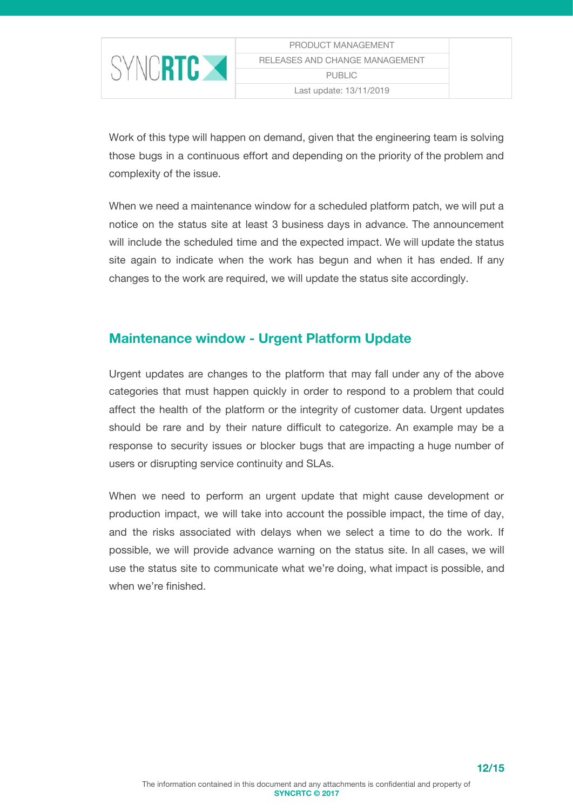

Work of this type will happen on demand, given that the engineering team is solving those bugs in a continuous effort and depending on the priority of the problem and complexity of the issue.

When we need a maintenance window for a scheduled platform patch, we will put a notice on the status site at least 3 business days in advance. The announcement will include the scheduled time and the expected impact. We will update the status site again to indicate when the work has begun and when it has ended. If any changes to the work are required, we will update the status site accordingly.

#### <span id="page-11-0"></span>**Maintenance window - Urgent Platform Update**

Urgent updates are changes to the platform that may fall under any of the above categories that must happen quickly in order to respond to a problem that could affect the health of the platform or the integrity of customer data. Urgent updates should be rare and by their nature difficult to categorize. An example may be a response to security issues or blocker bugs that are impacting a huge number of users or disrupting service continuity and SLAs.

When we need to perform an urgent update that might cause development or production impact, we will take into account the possible impact, the time of day, and the risks associated with delays when we select a time to do the work. If possible, we will provide advance warning on the status site. In all cases, we will use the status site to communicate what we're doing, what impact is possible, and when we're finished.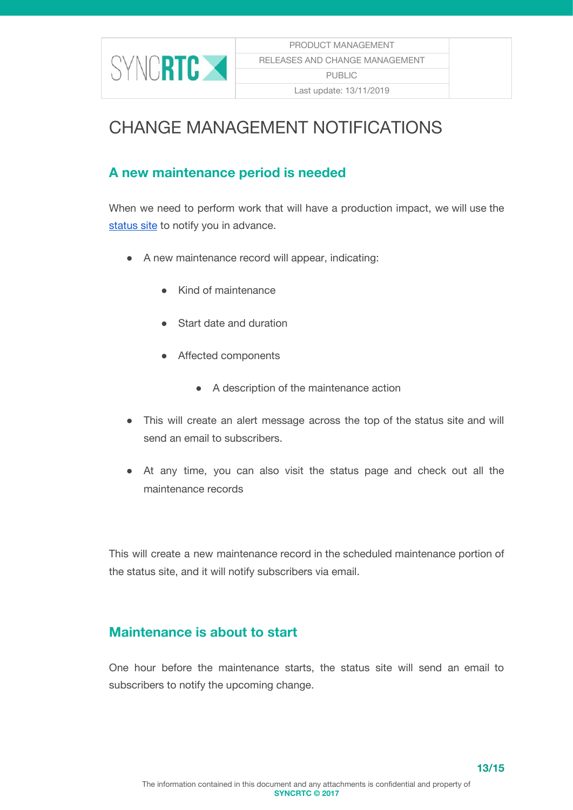

### <span id="page-12-0"></span>CHANGE MANAGEMENT NOTIFICATIONS

#### <span id="page-12-1"></span>**A new maintenance period is needed**

When we need to perform work that will have a production impact, we will use the [status](https://status.mashme.io/) site to notify you in advance.

- A new maintenance record will appear, indicating:
	- Kind of maintenance
	- Start date and duration
	- Affected components
		- A description of the maintenance action
- This will create an alert message across the top of the status site and will send an email to subscribers.
- At any time, you can also visit the status page and check out all the maintenance records

This will create a new maintenance record in the scheduled maintenance portion of the status site, and it will notify subscribers via email.

#### <span id="page-12-2"></span>**Maintenance is about to start**

One hour before the maintenance starts, the status site will send an email to subscribers to notify the upcoming change.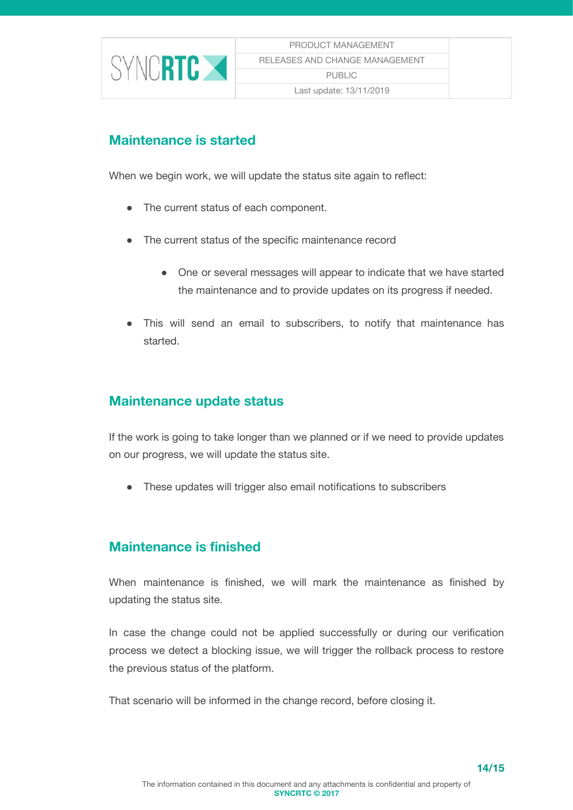

#### <span id="page-13-0"></span>**Maintenance is started**

When we begin work, we will update the status site again to reflect:

- The current status of each component.
- The current status of the specific maintenance record
	- One or several messages will appear to indicate that we have started the maintenance and to provide updates on its progress if needed.
- This will send an email to subscribers, to notify that maintenance has started.

#### <span id="page-13-1"></span>**Maintenance update status**

If the work is going to take longer than we planned or if we need to provide updates on our progress, we will update the status site.

● These updates will trigger also email notifications to subscribers

#### <span id="page-13-2"></span>**Maintenance is finished**

When maintenance is finished, we will mark the maintenance as finished by updating the status site.

In case the change could not be applied successfully or during our verification process we detect a blocking issue, we will trigger the rollback process to restore the previous status of the platform.

That scenario will be informed in the change record, before closing it.